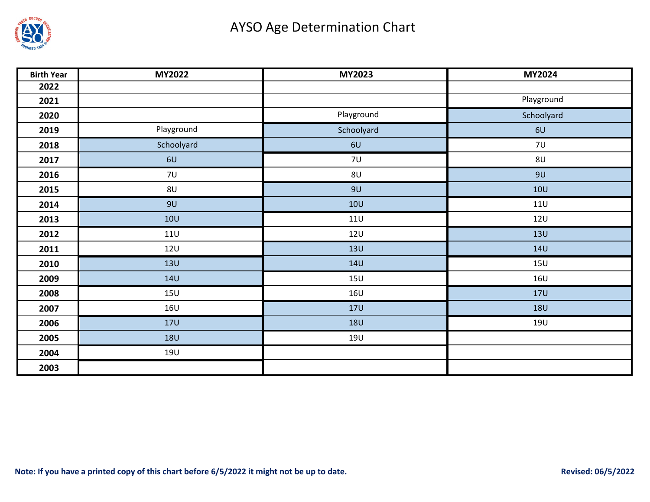

| <b>Birth Year</b> | <b>MY2022</b>  | MY2023     | MY2024     |  |  |
|-------------------|----------------|------------|------------|--|--|
| 2022              |                |            |            |  |  |
| 2021              |                |            | Playground |  |  |
| 2020              |                | Playground | Schoolyard |  |  |
| 2019              | Playground     | Schoolyard | 6U         |  |  |
| 2018              | Schoolyard     | 6U         | <b>7U</b>  |  |  |
| 2017              | 6U             | 7U         | 8U         |  |  |
| 2016              | 7U             | 8U         | 9U         |  |  |
| 2015              | 8 <sub>U</sub> | 9U         | <b>10U</b> |  |  |
| 2014              | 9U             | 10U        | 11U        |  |  |
| 2013              | <b>10U</b>     | 11U        | <b>12U</b> |  |  |
| 2012              | 11U            | <b>12U</b> | <b>13U</b> |  |  |
| 2011              | <b>12U</b>     | 13U        | <b>14U</b> |  |  |
| 2010              | <b>13U</b>     | <b>14U</b> | 15U        |  |  |
| 2009              | <b>14U</b>     | <b>15U</b> | 16U        |  |  |
| 2008              | 15U            | <b>16U</b> | <b>17U</b> |  |  |
| 2007              | <b>16U</b>     | <b>17U</b> | <b>18U</b> |  |  |
| 2006              | <b>17U</b>     | <b>18U</b> | <b>19U</b> |  |  |
| 2005              | <b>18U</b>     | <b>19U</b> |            |  |  |
| 2004              | <b>19U</b>     |            |            |  |  |
| 2003              |                |            |            |  |  |